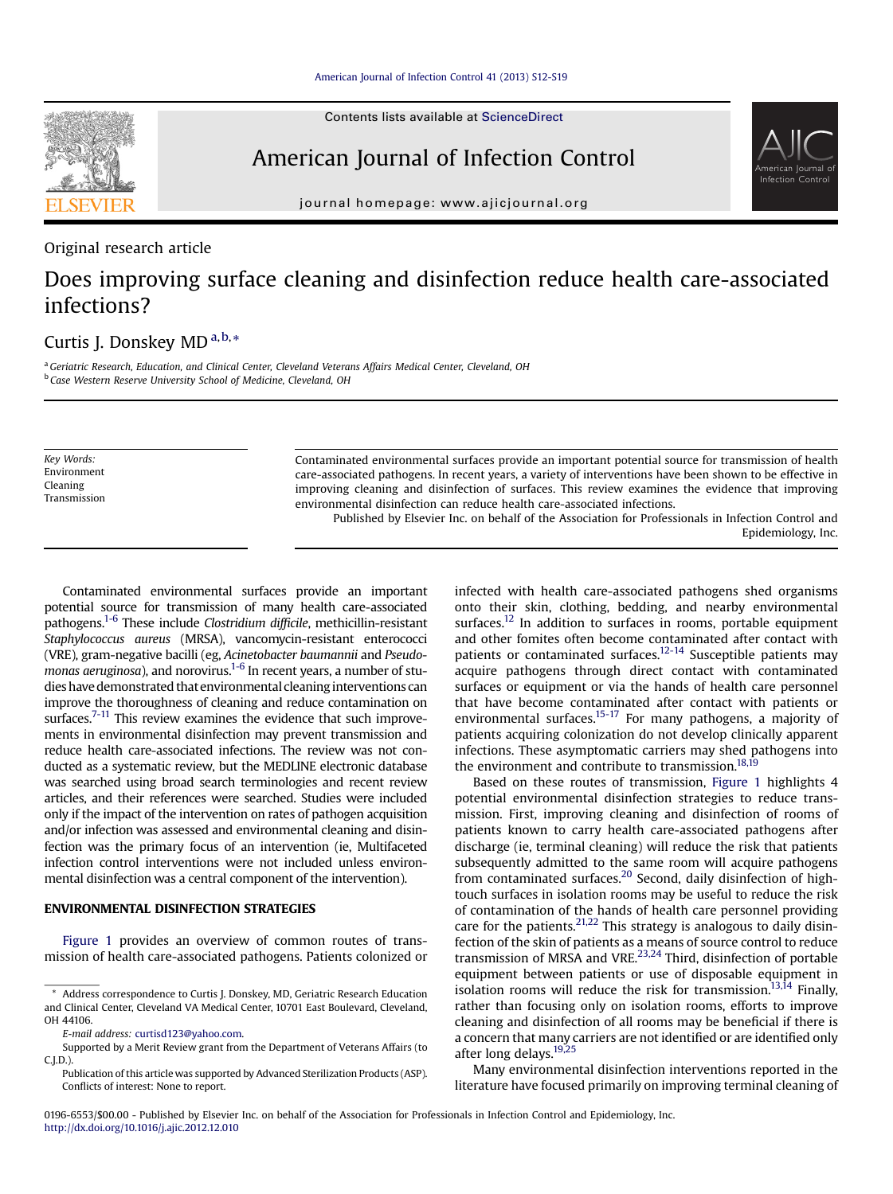Contents lists available at ScienceDirect

# American Journal of Infection Control

journal homepage: [www.ajicjournal.org](http://www.ajicjournal.org)

Original research article

# Does improving surface cleaning and disinfection reduce health care-associated infections?

# Curtis J. Donskey MD<sup>a,b,</sup>\*

<sup>a</sup> Geriatric Research, Education, and Clinical Center, Cleveland Veterans Affairs Medical Center, Cleveland, OH <sup>b</sup> Case Western Reserve University School of Medicine, Cleveland, OH

Key Words: Environment Cleaning Transmission Contaminated environmental surfaces provide an important potential source for transmission of health care-associated pathogens. In recent years, a variety of interventions have been shown to be effective in improving cleaning and disinfection of surfaces. This review examines the evidence that improving environmental disinfection can reduce health care-associated infections.

Published by Elsevier Inc. on behalf of the Association for Professionals in Infection Control and Epidemiology, Inc.

Contaminated environmental surfaces provide an important potential source for transmission of many health care-associated pathogens.<sup>1-6</sup> These include Clostridium difficile, methicillin-resistant Staphylococcus aureus (MRSA), vancomycin-resistant enterococci (VRE), gram-negative bacilli (eg, Acinetobacter baumannii and Pseudomonas aeruginosa), and norovirus. $1-6$  In recent years, a number of studies have demonstrated that environmental cleaning interventions can improve the thoroughness of cleaning and reduce contamination on surfaces. $7-11$  This review examines the evidence that such improvements in environmental disinfection may prevent transmission and reduce health care-associated infections. The review was not conducted as a systematic review, but the MEDLINE electronic database was searched using broad search terminologies and recent review articles, and their references were searched. Studies were included only if the impact of the intervention on rates of pathogen acquisition and/or infection was assessed and environmental cleaning and disinfection was the primary focus of an intervention (ie, Multifaceted infection control interventions were not included unless environmental disinfection was a central component of the intervention).

# ENVIRONMENTAL DISINFECTION STRATEGIES

[Figure 1](#page-1-0) provides an overview of common routes of transmission of health care-associated pathogens. Patients colonized or infected with health care-associated pathogens shed organisms onto their skin, clothing, bedding, and nearby environmental surfaces.<sup>[12](#page-6-0)</sup> In addition to surfaces in rooms, portable equipment and other fomites often become contaminated after contact with patients or contaminated surfaces.<sup>[12-14](#page-6-0)</sup> Susceptible patients may acquire pathogens through direct contact with contaminated surfaces or equipment or via the hands of health care personnel that have become contaminated after contact with patients or environmental surfaces.<sup>15-17</sup> For many pathogens, a majority of patients acquiring colonization do not develop clinically apparent infections. These asymptomatic carriers may shed pathogens into the environment and contribute to transmission.<sup>[18,19](#page-6-0)</sup>

Based on these routes of transmission, [Figure 1](#page-1-0) highlights 4 potential environmental disinfection strategies to reduce transmission. First, improving cleaning and disinfection of rooms of patients known to carry health care-associated pathogens after discharge (ie, terminal cleaning) will reduce the risk that patients subsequently admitted to the same room will acquire pathogens from contaminated surfaces.<sup>20</sup> Second, daily disinfection of hightouch surfaces in isolation rooms may be useful to reduce the risk of contamination of the hands of health care personnel providing care for the patients.<sup>[21,22](#page-6-0)</sup> This strategy is analogous to daily disinfection of the skin of patients as a means of source control to reduce transmission of MRSA and VRE.<sup>[23,24](#page-6-0)</sup> Third, disinfection of portable equipment between patients or use of disposable equipment in isolation rooms will reduce the risk for transmission.<sup>13,14</sup> Finally, rather than focusing only on isolation rooms, efforts to improve cleaning and disinfection of all rooms may be beneficial if there is a concern that many carriers are not identified or are identified only after long delays.<sup>[19,25](#page-6-0)</sup>

Many environmental disinfection interventions reported in the literature have focused primarily on improving terminal cleaning of





<sup>\*</sup> Address correspondence to Curtis J. Donskey, MD, Geriatric Research Education and Clinical Center, Cleveland VA Medical Center, 10701 East Boulevard, Cleveland, OH 44106.

E-mail address: [curtisd123@yahoo.com](mailto:curtisd123@yahoo.com).

Supported by a Merit Review grant from the Department of Veterans Affairs (to C.J.D.).

Publication of this article was supported by Advanced Sterilization Products (ASP). Conflicts of interest: None to report.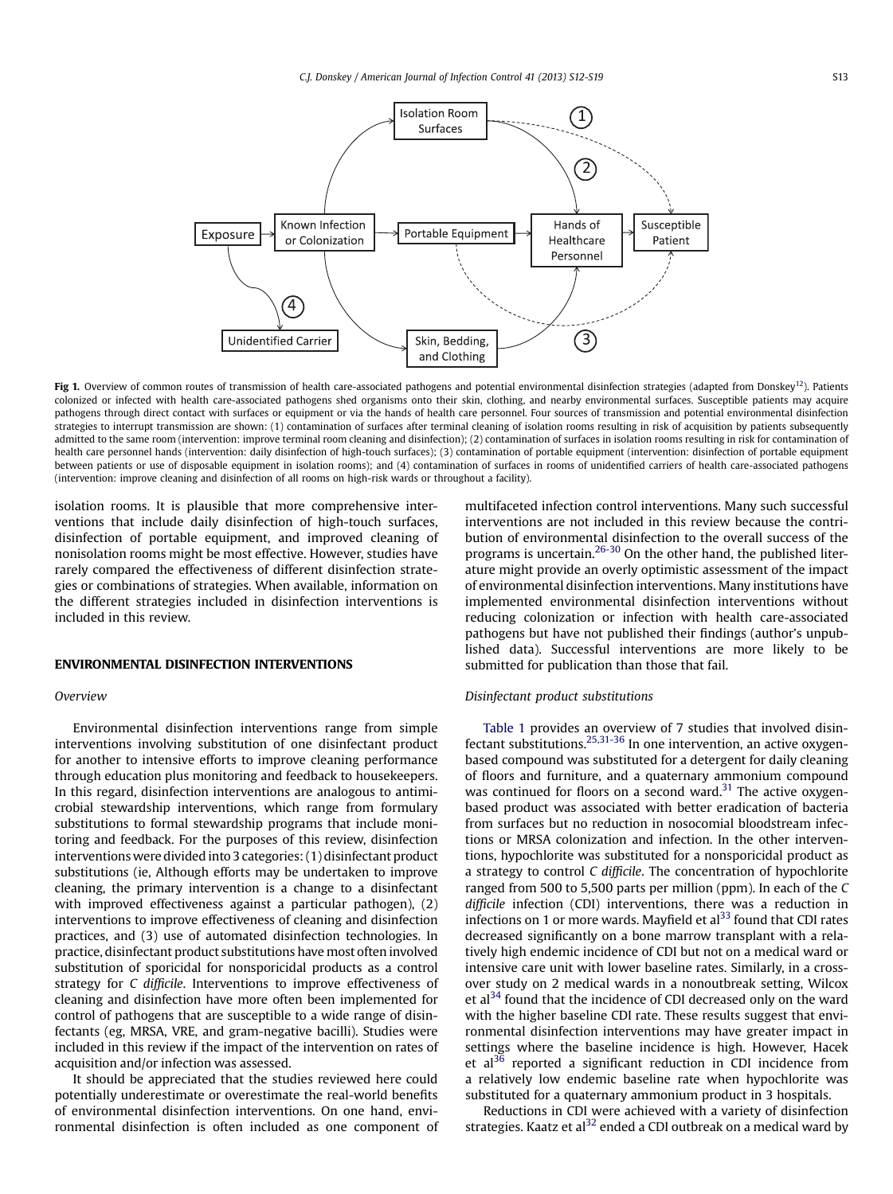<span id="page-1-0"></span>

Fig 1. Overview of common routes of transmission of health care-associated pathogens and potential environmental disinfection strategies (adapted from Donskey<sup>12</sup>). Patients colonized or infected with health care-associated pathogens shed organisms onto their skin, clothing, and nearby environmental surfaces. Susceptible patients may acquire pathogens through direct contact with surfaces or equipment or via the hands of health care personnel. Four sources of transmission and potential environmental disinfection strategies to interrupt transmission are shown: (1) contamination of surfaces after terminal cleaning of isolation rooms resulting in risk of acquisition by patients subsequently admitted to the same room (intervention: improve terminal room cleaning and disinfection); (2) contamination of surfaces in isolation rooms resulting in risk for contamination of health care personnel hands (intervention: daily disinfection of high-touch surfaces); (3) contamination of portable equipment (intervention: disinfection of portable equipment between patients or use of disposable equipment in isolation rooms); and (4) contamination of surfaces in rooms of unidentified carriers of health care-associated pathogens (intervention: improve cleaning and disinfection of all rooms on high-risk wards or throughout a facility).

isolation rooms. It is plausible that more comprehensive interventions that include daily disinfection of high-touch surfaces, disinfection of portable equipment, and improved cleaning of nonisolation rooms might be most effective. However, studies have rarely compared the effectiveness of different disinfection strategies or combinations of strategies. When available, information on the different strategies included in disinfection interventions is included in this review.

## Overview

Environmental disinfection interventions range from simple interventions involving substitution of one disinfectant product for another to intensive efforts to improve cleaning performance through education plus monitoring and feedback to housekeepers. In this regard, disinfection interventions are analogous to antimicrobial stewardship interventions, which range from formulary substitutions to formal stewardship programs that include monitoring and feedback. For the purposes of this review, disinfection interventions were divided into 3 categories: (1) disinfectant product substitutions (ie, Although efforts may be undertaken to improve cleaning, the primary intervention is a change to a disinfectant with improved effectiveness against a particular pathogen), (2) interventions to improve effectiveness of cleaning and disinfection practices, and (3) use of automated disinfection technologies. In practice, disinfectant product substitutions have most often involved substitution of sporicidal for nonsporicidal products as a control strategy for C difficile. Interventions to improve effectiveness of cleaning and disinfection have more often been implemented for control of pathogens that are susceptible to a wide range of disinfectants (eg, MRSA, VRE, and gram-negative bacilli). Studies were included in this review if the impact of the intervention on rates of acquisition and/or infection was assessed.

It should be appreciated that the studies reviewed here could potentially underestimate or overestimate the real-world benefits of environmental disinfection interventions. On one hand, environmental disinfection is often included as one component of multifaceted infection control interventions. Many such successful interventions are not included in this review because the contribution of environmental disinfection to the overall success of the programs is uncertain.[26-30](#page-6-0) On the other hand, the published literature might provide an overly optimistic assessment of the impact of environmental disinfection interventions. Many institutions have implemented environmental disinfection interventions without reducing colonization or infection with health care-associated pathogens but have not published their findings (author's unpublished data). Successful interventions are more likely to be submitted for publication than those that fail.

# Disinfectant product substitutions

[Table 1](#page-2-0) provides an overview of 7 studies that involved disinfectant substitutions.<sup>25,31-36</sup> In one intervention, an active oxygenbased compound was substituted for a detergent for daily cleaning of floors and furniture, and a quaternary ammonium compound was continued for floors on a second ward.<sup>31</sup> The active oxygenbased product was associated with better eradication of bacteria from surfaces but no reduction in nosocomial bloodstream infections or MRSA colonization and infection. In the other interventions, hypochlorite was substituted for a nonsporicidal product as a strategy to control C difficile. The concentration of hypochlorite ranged from 500 to 5,500 parts per million (ppm). In each of the C difficile infection (CDI) interventions, there was a reduction in infections on 1 or more wards. Mayfield et  $al<sup>33</sup>$  $al<sup>33</sup>$  $al<sup>33</sup>$  found that CDI rates decreased significantly on a bone marrow transplant with a relatively high endemic incidence of CDI but not on a medical ward or intensive care unit with lower baseline rates. Similarly, in a crossover study on 2 medical wards in a nonoutbreak setting, Wilcox et al $^{34}$  found that the incidence of CDI decreased only on the ward with the higher baseline CDI rate. These results suggest that environmental disinfection interventions may have greater impact in settings where the baseline incidence is high. However, Hacek et  $al^{36}$  $al^{36}$  $al^{36}$  reported a significant reduction in CDI incidence from a relatively low endemic baseline rate when hypochlorite was substituted for a quaternary ammonium product in 3 hospitals.

Reductions in CDI were achieved with a variety of disinfection strategies. Kaatz et al $^{32}$  $^{32}$  $^{32}$  ended a CDI outbreak on a medical ward by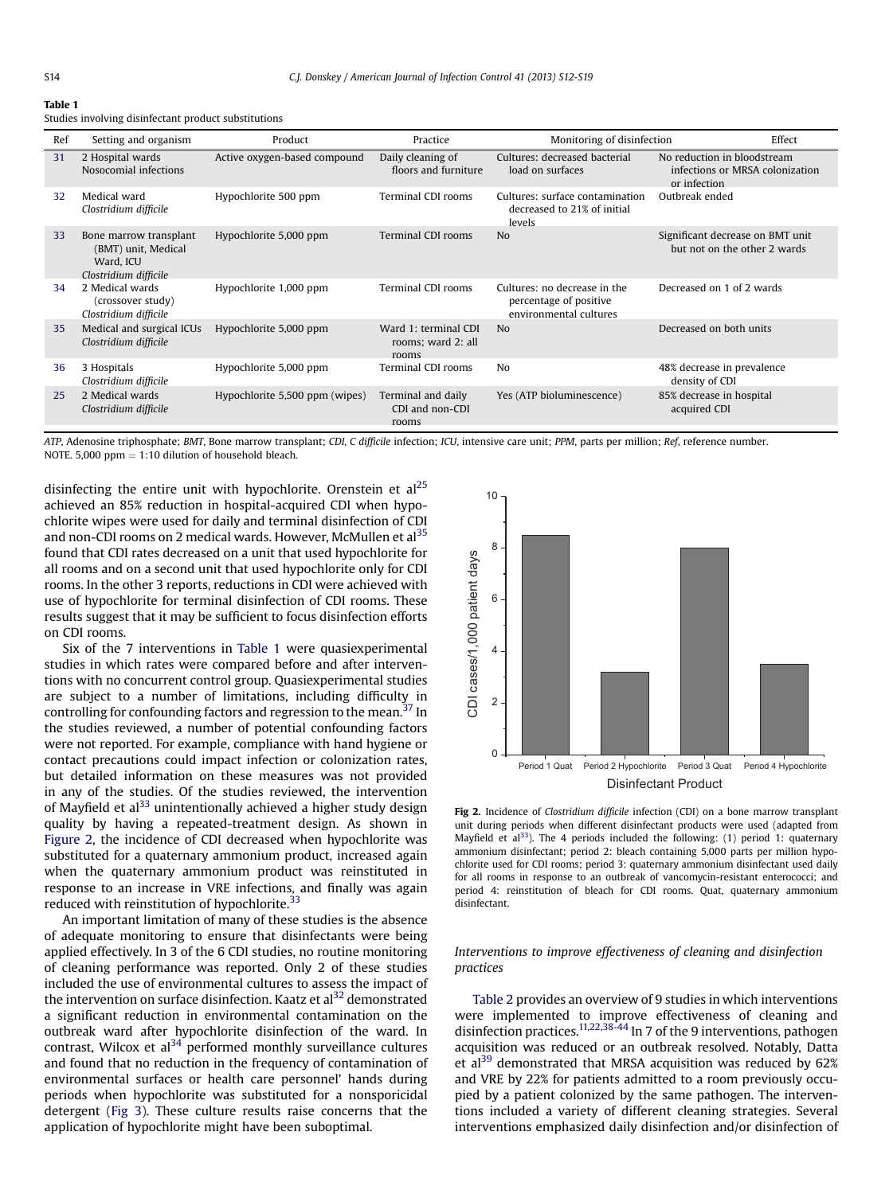### <span id="page-2-0"></span>**Table 1**

Studies involving disinfectant product substitutions

| Ref | Setting and organism                                                                | Product                        | Practice                                            | Monitoring of disinfection                                                       | Effect                                                                         |
|-----|-------------------------------------------------------------------------------------|--------------------------------|-----------------------------------------------------|----------------------------------------------------------------------------------|--------------------------------------------------------------------------------|
| 31  | 2 Hospital wards<br>Nosocomial infections                                           | Active oxygen-based compound   | Daily cleaning of<br>floors and furniture           | Cultures: decreased bacterial<br>load on surfaces                                | No reduction in bloodstream<br>infections or MRSA colonization<br>or infection |
| 32  | Medical ward<br>Clostridium difficile                                               | Hypochlorite 500 ppm           | Terminal CDI rooms                                  | Cultures: surface contamination<br>decreased to 21% of initial<br>levels         | Outbreak ended                                                                 |
| 33  | Bone marrow transplant<br>(BMT) unit, Medical<br>Ward, ICU<br>Clostridium difficile | Hypochlorite 5,000 ppm         | <b>Terminal CDI rooms</b>                           | N <sub>o</sub>                                                                   | Significant decrease on BMT unit<br>but not on the other 2 wards               |
| 34  | 2 Medical wards<br>(crossover study)<br>Clostridium difficile                       | Hypochlorite 1,000 ppm         | Terminal CDI rooms                                  | Cultures: no decrease in the<br>percentage of positive<br>environmental cultures | Decreased on 1 of 2 wards                                                      |
| 35  | Medical and surgical ICUs<br>Clostridium difficile                                  | Hypochlorite 5,000 ppm         | Ward 1: terminal CDI<br>rooms; ward 2: all<br>rooms | N <sub>0</sub>                                                                   | Decreased on both units                                                        |
| 36  | 3 Hospitals<br>Clostridium difficile                                                | Hypochlorite 5,000 ppm         | Terminal CDI rooms                                  | N <sub>0</sub>                                                                   | 48% decrease in prevalence<br>density of CDI                                   |
| 25  | 2 Medical wards<br>Clostridium difficile                                            | Hypochlorite 5,500 ppm (wipes) | Terminal and daily<br>CDI and non-CDI<br>rooms      | Yes (ATP bioluminescence)                                                        | 85% decrease in hospital<br>acquired CDI                                       |

ATP, Adenosine triphosphate; BMT, Bone marrow transplant; CDI, C difficile infection; ICU, intensive care unit; PPM, parts per million; Ref, reference number. NOTE. 5,000 ppm  $= 1:10$  dilution of household bleach.

disinfecting the entire unit with hypochlorite. Orenstein et  $al<sup>25</sup>$  $al<sup>25</sup>$  $al<sup>25</sup>$ achieved an 85% reduction in hospital-acquired CDI when hypochlorite wipes were used for daily and terminal disinfection of CDI and non-CDI rooms on 2 medical wards. However, McMullen et al<sup>[35](#page-6-0)</sup> found that CDI rates decreased on a unit that used hypochlorite for all rooms and on a second unit that used hypochlorite only for CDI rooms. In the other 3 reports, reductions in CDI were achieved with use of hypochlorite for terminal disinfection of CDI rooms. These results suggest that it may be sufficient to focus disinfection efforts on CDI rooms.

Six of the 7 interventions in Table 1 were quasiexperimental studies in which rates were compared before and after interventions with no concurrent control group. Quasiexperimental studies are subject to a number of limitations, including difficulty in controlling for confounding factors and regression to the mean.<sup>[37](#page-6-0)</sup> In the studies reviewed, a number of potential confounding factors were not reported. For example, compliance with hand hygiene or contact precautions could impact infection or colonization rates, but detailed information on these measures was not provided in any of the studies. Of the studies reviewed, the intervention of Mayfield et al<sup>33</sup> unintentionally achieved a higher study design quality by having a repeated-treatment design. As shown in Figure 2, the incidence of CDI decreased when hypochlorite was substituted for a quaternary ammonium product, increased again when the quaternary ammonium product was reinstituted in response to an increase in VRE infections, and finally was again reduced with reinstitution of hypochlorite.<sup>[33](#page-6-0)</sup>

An important limitation of many of these studies is the absence of adequate monitoring to ensure that disinfectants were being applied effectively. In 3 of the 6 CDI studies, no routine monitoring of cleaning performance was reported. Only 2 of these studies included the use of environmental cultures to assess the impact of the intervention on surface disinfection. Kaatz et al<sup>32</sup> demonstrated a significant reduction in environmental contamination on the outbreak ward after hypochlorite disinfection of the ward. In contrast, Wilcox et  $a^{34}$  $a^{34}$  $a^{34}$  performed monthly surveillance cultures and found that no reduction in the frequency of contamination of environmental surfaces or health care personnel' hands during periods when hypochlorite was substituted for a nonsporicidal detergent ([Fig 3\)](#page-3-0). These culture results raise concerns that the application of hypochlorite might have been suboptimal.



Fig 2. Incidence of Clostridium difficile infection (CDI) on a bone marrow transplant unit during periods when different disinfectant products were used (adapted from Mayfield et al<sup>[33](#page-6-0)</sup>). The 4 periods included the following: (1) period 1: quaternary ammonium disinfectant; period 2: bleach containing 5,000 parts per million hypochlorite used for CDI rooms; period 3: quaternary ammonium disinfectant used daily for all rooms in response to an outbreak of vancomycin-resistant enterococci; and period 4: reinstitution of bleach for CDI rooms. Quat, quaternary ammonium disinfectant.

# Interventions to improve effectiveness of cleaning and disinfection practices

[Table 2](#page-3-0) provides an overview of 9 studies in which interventions were implemented to improve effectiveness of cleaning and disinfection practices.<sup>11,22,38-44</sup> In 7 of the 9 interventions, pathogen acquisition was reduced or an outbreak resolved. Notably, Datta et al<sup>39</sup> demonstrated that MRSA acquisition was reduced by  $62\%$ and VRE by 22% for patients admitted to a room previously occupied by a patient colonized by the same pathogen. The interventions included a variety of different cleaning strategies. Several interventions emphasized daily disinfection and/or disinfection of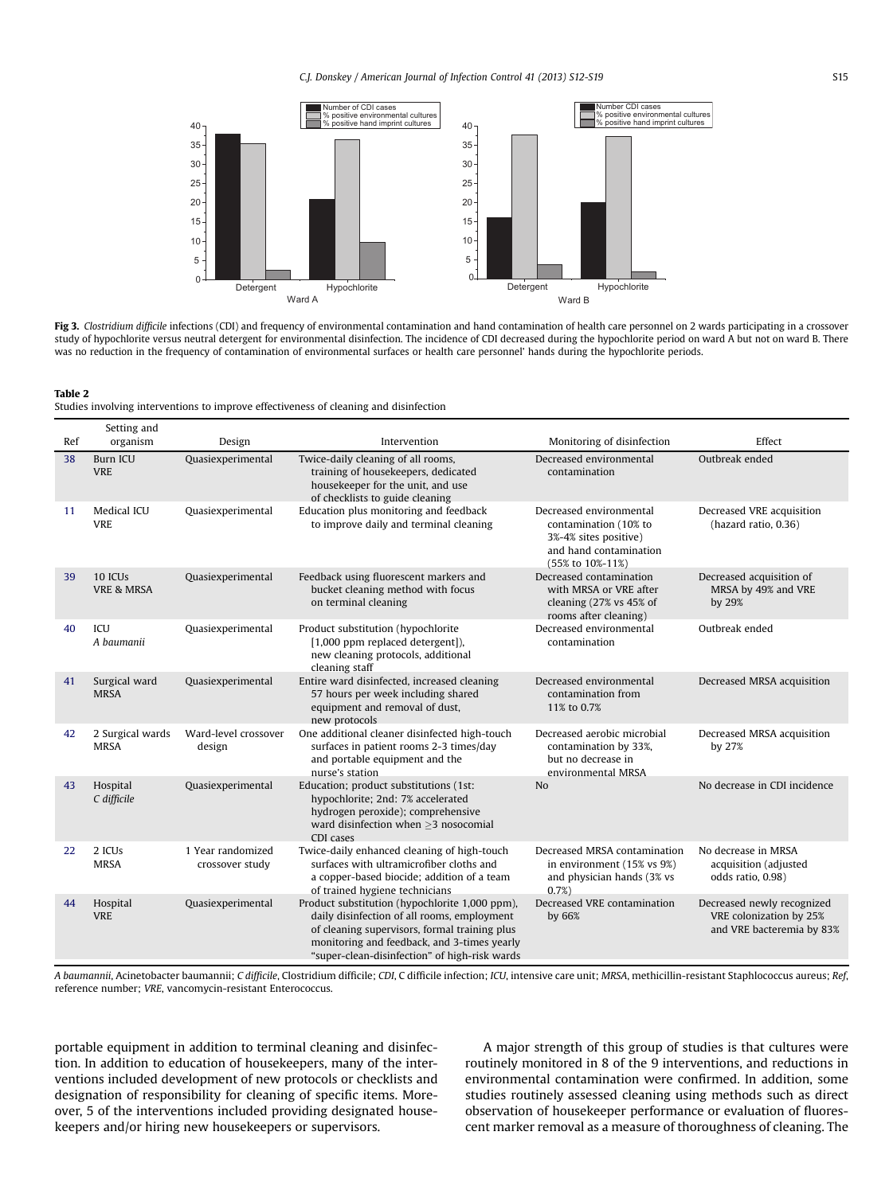<span id="page-3-0"></span>

Fig 3. Clostridium difficile infections (CDI) and frequency of environmental contamination and hand contamination of health care personnel on 2 wards participating in a crossover study of hypochlorite versus neutral detergent for environmental disinfection. The incidence of CDI decreased during the hypochlorite period on ward A but not on ward B. There was no reduction in the frequency of contamination of environmental surfaces or health care personnel' hands during the hypochlorite periods.

Studies involving interventions to improve effectiveness of cleaning and disinfection

| Ref | Setting and<br>organism                      | Design                               | Intervention                                                                                                                                                                                                                                   | Monitoring of disinfection                                                                                              | Effect                                                                             |
|-----|----------------------------------------------|--------------------------------------|------------------------------------------------------------------------------------------------------------------------------------------------------------------------------------------------------------------------------------------------|-------------------------------------------------------------------------------------------------------------------------|------------------------------------------------------------------------------------|
| 38  | <b>Burn ICU</b><br><b>VRE</b>                | Quasiexperimental                    | Twice-daily cleaning of all rooms,<br>training of housekeepers, dedicated<br>housekeeper for the unit, and use<br>of checklists to guide cleaning                                                                                              | Decreased environmental<br>contamination                                                                                | Outbreak ended                                                                     |
| 11  | Medical ICU<br><b>VRE</b>                    | Quasiexperimental                    | Education plus monitoring and feedback<br>to improve daily and terminal cleaning                                                                                                                                                               | Decreased environmental<br>contamination (10% to<br>3%-4% sites positive)<br>and hand contamination<br>(55% to 10%-11%) | Decreased VRE acquisition<br>(hazard ratio, 0.36)                                  |
| 39  | 10 ICU <sub>s</sub><br><b>VRE &amp; MRSA</b> | Quasiexperimental                    | Feedback using fluorescent markers and<br>bucket cleaning method with focus<br>on terminal cleaning                                                                                                                                            | Decreased contamination<br>with MRSA or VRE after<br>cleaning (27% vs 45% of<br>rooms after cleaning)                   | Decreased acquisition of<br>MRSA by 49% and VRE<br>by 29%                          |
| 40  | ICU<br>A haumanii                            | Quasiexperimental                    | Product substitution (hypochlorite<br>[1,000 ppm replaced detergent]),<br>new cleaning protocols, additional<br>cleaning staff                                                                                                                 | Decreased environmental<br>contamination                                                                                | Outbreak ended                                                                     |
| 41  | Surgical ward<br><b>MRSA</b>                 | Quasiexperimental                    | Entire ward disinfected, increased cleaning<br>57 hours per week including shared<br>equipment and removal of dust,<br>new protocols                                                                                                           | Decreased environmental<br>contamination from<br>11% to 0.7%                                                            | Decreased MRSA acquisition                                                         |
| 42  | 2 Surgical wards<br><b>MRSA</b>              | Ward-level crossover<br>design       | One additional cleaner disinfected high-touch<br>surfaces in patient rooms 2-3 times/day<br>and portable equipment and the<br>nurse's station                                                                                                  | Decreased aerobic microbial<br>contamination by 33%,<br>but no decrease in<br>environmental MRSA                        | Decreased MRSA acquisition<br>by 27%                                               |
| 43  | Hospital<br>C difficile                      | Quasiexperimental                    | Education; product substitutions (1st:<br>hypochlorite; 2nd: 7% accelerated<br>hydrogen peroxide); comprehensive<br>ward disinfection when $\geq$ 3 nosocomial<br>CDI cases                                                                    | N <sub>0</sub>                                                                                                          | No decrease in CDI incidence                                                       |
| 22  | 2 ICUs<br><b>MRSA</b>                        | 1 Year randomized<br>crossover study | Twice-daily enhanced cleaning of high-touch<br>surfaces with ultramicrofiber cloths and<br>a copper-based biocide; addition of a team<br>of trained hygiene technicians                                                                        | Decreased MRSA contamination<br>in environment (15% vs 9%)<br>and physician hands (3% vs<br>0.7%                        | No decrease in MRSA<br>acquisition (adjusted<br>odds ratio, 0.98)                  |
| 44  | Hospital<br><b>VRE</b>                       | Quasiexperimental                    | Product substitution (hypochlorite 1,000 ppm),<br>daily disinfection of all rooms, employment<br>of cleaning supervisors, formal training plus<br>monitoring and feedback, and 3-times yearly<br>"super-clean-disinfection" of high-risk wards | Decreased VRE contamination<br>by 66%                                                                                   | Decreased newly recognized<br>VRE colonization by 25%<br>and VRE bacteremia by 83% |

A baumannii, Acinetobacter baumannii; C difficile, Clostridium difficile; CDI, C difficile infection; ICU, intensive care unit; MRSA, methicillin-resistant Staphlococcus aureus; Ref, reference number; VRE, vancomycin-resistant Enterococcus.

portable equipment in addition to terminal cleaning and disinfection. In addition to education of housekeepers, many of the interventions included development of new protocols or checklists and designation of responsibility for cleaning of specific items. Moreover, 5 of the interventions included providing designated housekeepers and/or hiring new housekeepers or supervisors.

A major strength of this group of studies is that cultures were routinely monitored in 8 of the 9 interventions, and reductions in environmental contamination were confirmed. In addition, some studies routinely assessed cleaning using methods such as direct observation of housekeeper performance or evaluation of fluorescent marker removal as a measure of thoroughness of cleaning. The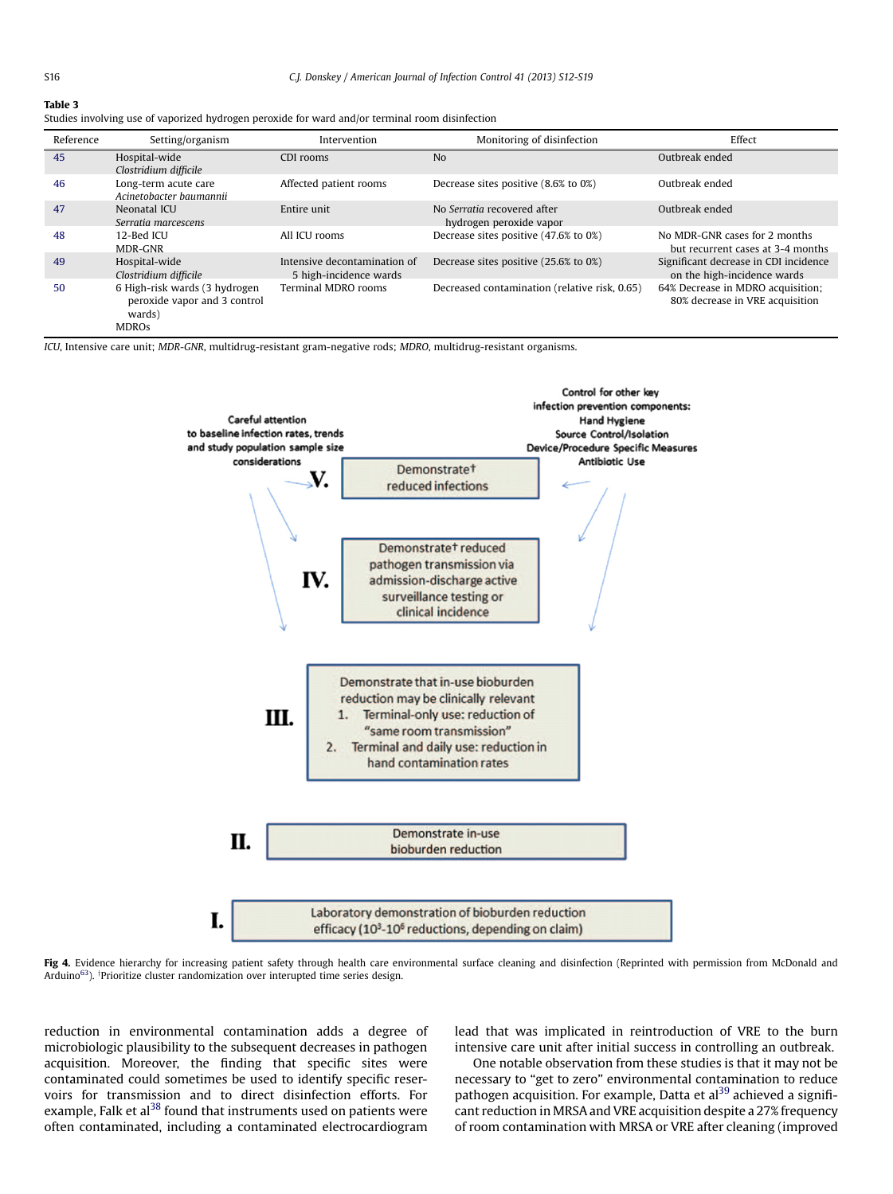## <span id="page-4-0"></span>Table 3

|  |  |  |  |  | Studies involving use of vaporized hydrogen peroxide for ward and/or terminal room disinfection |
|--|--|--|--|--|-------------------------------------------------------------------------------------------------|
|  |  |  |  |  |                                                                                                 |
|  |  |  |  |  |                                                                                                 |

| Reference | Setting/organism                                                                        | Intervention                                           | Monitoring of disinfection                             | Effect                                                               |  |  |
|-----------|-----------------------------------------------------------------------------------------|--------------------------------------------------------|--------------------------------------------------------|----------------------------------------------------------------------|--|--|
| 45        | Hospital-wide<br>Clostridium difficile                                                  | CDI rooms                                              | N <sub>0</sub>                                         | Outbreak ended                                                       |  |  |
| 46        | Long-term acute care<br>Acinetobacter baumannii                                         | Affected patient rooms                                 | Decrease sites positive (8.6% to 0%)                   | Outbreak ended                                                       |  |  |
| 47        | Neonatal ICU<br>Serratia marcescens                                                     | Entire unit                                            | No Serratia recovered after<br>hydrogen peroxide vapor | Outbreak ended                                                       |  |  |
| 48        | 12-Bed ICU<br>MDR-GNR                                                                   | All ICU rooms                                          | Decrease sites positive (47.6% to 0%)                  | No MDR-GNR cases for 2 months<br>but recurrent cases at 3-4 months   |  |  |
| 49        | Hospital-wide<br>Clostridium difficile                                                  | Intensive decontamination of<br>5 high-incidence wards | Decrease sites positive (25.6% to 0%)                  | Significant decrease in CDI incidence<br>on the high-incidence wards |  |  |
| 50        | 6 High-risk wards (3 hydrogen<br>peroxide vapor and 3 control<br>wards)<br><b>MDROs</b> | <b>Terminal MDRO rooms</b>                             | Decreased contamination (relative risk, 0.65)          | 64% Decrease in MDRO acquisition;<br>80% decrease in VRE acquisition |  |  |

ICU, Intensive care unit; MDR-GNR, multidrug-resistant gram-negative rods; MDRO, multidrug-resistant organisms.



Fig 4. Evidence hierarchy for increasing patient safety through health care environmental surface cleaning and disinfection (Reprinted with permission from McDonald and Arduino<sup>[63](#page-7-0)</sup>). <sup>†</sup>Prioritize cluster randomization over interupted time series design.

reduction in environmental contamination adds a degree of microbiologic plausibility to the subsequent decreases in pathogen acquisition. Moreover, the finding that specific sites were contaminated could sometimes be used to identify specific reservoirs for transmission and to direct disinfection efforts. For example, Falk et al<sup>38</sup> found that instruments used on patients were often contaminated, including a contaminated electrocardiogram lead that was implicated in reintroduction of VRE to the burn intensive care unit after initial success in controlling an outbreak.

One notable observation from these studies is that it may not be necessary to "get to zero" environmental contamination to reduce pathogen acquisition. For example, Datta et al<sup>[39](#page-6-0)</sup> achieved a significant reduction in MRSA and VRE acquisition despite a 27% frequency of room contamination with MRSA or VRE after cleaning (improved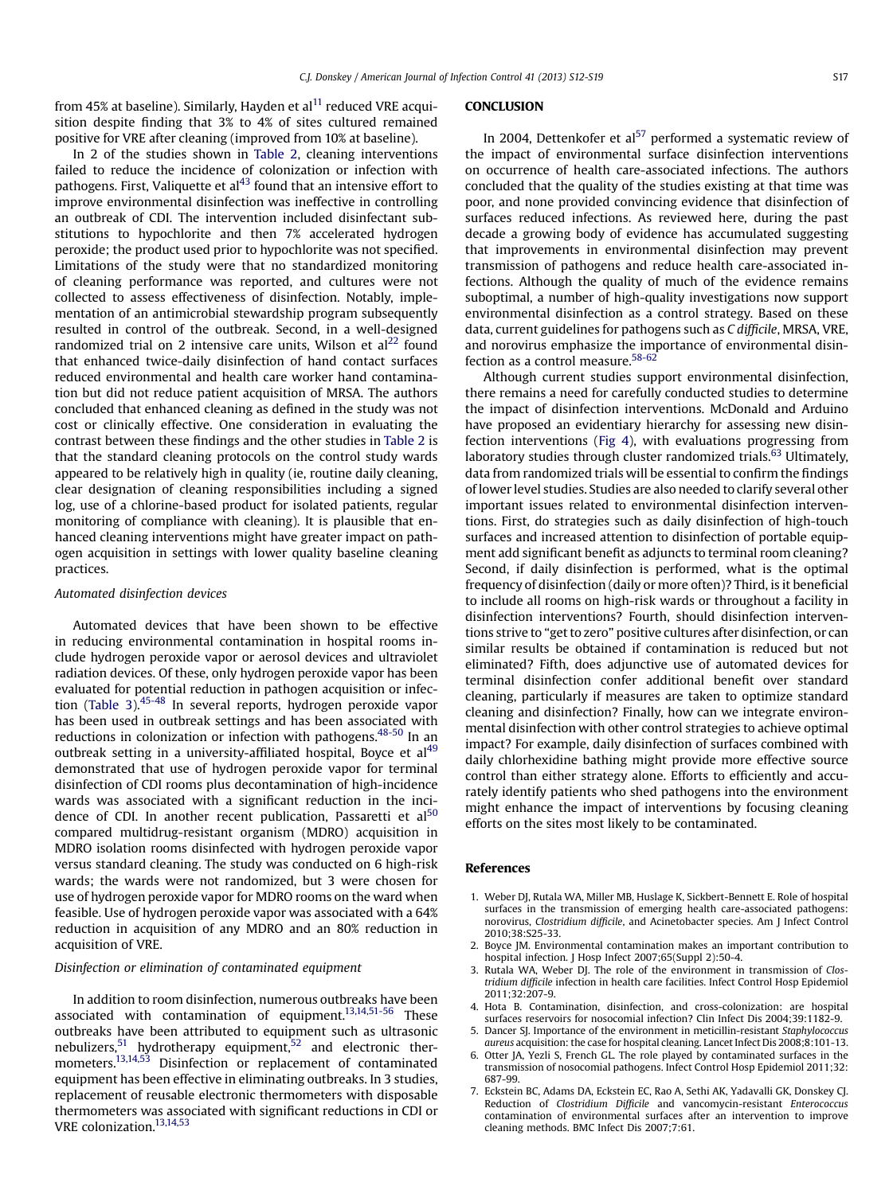<span id="page-5-0"></span>from 45% at baseline). Similarly, Hayden et al<sup>[11](#page-6-0)</sup> reduced VRE acquisition despite finding that 3% to 4% of sites cultured remained positive for VRE after cleaning (improved from 10% at baseline).

In 2 of the studies shown in [Table 2](#page-3-0), cleaning interventions failed to reduce the incidence of colonization or infection with pathogens. First, Valiquette et  $al<sup>43</sup>$  $al<sup>43</sup>$  $al<sup>43</sup>$  found that an intensive effort to improve environmental disinfection was ineffective in controlling an outbreak of CDI. The intervention included disinfectant substitutions to hypochlorite and then 7% accelerated hydrogen peroxide; the product used prior to hypochlorite was not specified. Limitations of the study were that no standardized monitoring of cleaning performance was reported, and cultures were not collected to assess effectiveness of disinfection. Notably, implementation of an antimicrobial stewardship program subsequently resulted in control of the outbreak. Second, in a well-designed randomized trial on 2 intensive care units, Wilson et  $al<sup>22</sup>$  found that enhanced twice-daily disinfection of hand contact surfaces reduced environmental and health care worker hand contamination but did not reduce patient acquisition of MRSA. The authors concluded that enhanced cleaning as defined in the study was not cost or clinically effective. One consideration in evaluating the contrast between these findings and the other studies in [Table 2](#page-3-0) is that the standard cleaning protocols on the control study wards appeared to be relatively high in quality (ie, routine daily cleaning, clear designation of cleaning responsibilities including a signed log, use of a chlorine-based product for isolated patients, regular monitoring of compliance with cleaning). It is plausible that enhanced cleaning interventions might have greater impact on pathogen acquisition in settings with lower quality baseline cleaning practices.

### Automated disinfection devices

Automated devices that have been shown to be effective in reducing environmental contamination in hospital rooms include hydrogen peroxide vapor or aerosol devices and ultraviolet radiation devices. Of these, only hydrogen peroxide vapor has been evaluated for potential reduction in pathogen acquisition or infec-tion [\(Table 3\)](#page-4-0).<sup>[45-48](#page-6-0)</sup> In several reports, hydrogen peroxide vapor has been used in outbreak settings and has been associated with reductions in colonization or infection with pathogens.  $48-50$  In an outbreak setting in a university-affiliated hospital. Boyce et al<sup>[49](#page-6-0)</sup> demonstrated that use of hydrogen peroxide vapor for terminal disinfection of CDI rooms plus decontamination of high-incidence wards was associated with a significant reduction in the inci-dence of CDI. In another recent publication, Passaretti et al<sup>[50](#page-6-0)</sup> compared multidrug-resistant organism (MDRO) acquisition in MDRO isolation rooms disinfected with hydrogen peroxide vapor versus standard cleaning. The study was conducted on 6 high-risk wards; the wards were not randomized, but 3 were chosen for use of hydrogen peroxide vapor for MDRO rooms on the ward when feasible. Use of hydrogen peroxide vapor was associated with a 64% reduction in acquisition of any MDRO and an 80% reduction in acquisition of VRE.

## Disinfection or elimination of contaminated equipment

In addition to room disinfection, numerous outbreaks have been associated with contamination of equipment. $13,14,51-56$  These outbreaks have been attributed to equipment such as ultrasonic nebulizers,<sup>[51](#page-6-0)</sup> hydrotherapy equipment,<sup>[52](#page-6-0)</sup> and electronic thermometers.<sup>13,14,53</sup> Disinfection or replacement of contaminated equipment has been effective in eliminating outbreaks. In 3 studies, replacement of reusable electronic thermometers with disposable thermometers was associated with significant reductions in CDI or VRE colonization.<sup>[13,14,53](#page-6-0)</sup>

### **CONCLUSION**

In 2004, Dettenkofer et al<sup>[57](#page-6-0)</sup> performed a systematic review of the impact of environmental surface disinfection interventions on occurrence of health care-associated infections. The authors concluded that the quality of the studies existing at that time was poor, and none provided convincing evidence that disinfection of surfaces reduced infections. As reviewed here, during the past decade a growing body of evidence has accumulated suggesting that improvements in environmental disinfection may prevent transmission of pathogens and reduce health care-associated infections. Although the quality of much of the evidence remains suboptimal, a number of high-quality investigations now support environmental disinfection as a control strategy. Based on these data, current guidelines for pathogens such as C difficile, MRSA, VRE, and norovirus emphasize the importance of environmental disinfection as a control measure. $58-62$ 

Although current studies support environmental disinfection, there remains a need for carefully conducted studies to determine the impact of disinfection interventions. McDonald and Arduino have proposed an evidentiary hierarchy for assessing new disinfection interventions [\(Fig 4](#page-4-0)), with evaluations progressing from laboratory studies through cluster randomized trials. $63$  Ultimately, data from randomized trials will be essential to confirm the findings of lower level studies. Studies are also needed to clarify several other important issues related to environmental disinfection interventions. First, do strategies such as daily disinfection of high-touch surfaces and increased attention to disinfection of portable equipment add significant benefit as adjuncts to terminal room cleaning? Second, if daily disinfection is performed, what is the optimal frequency of disinfection (daily or more often)? Third, is it beneficial to include all rooms on high-risk wards or throughout a facility in disinfection interventions? Fourth, should disinfection interventions strive to "get to zero" positive cultures after disinfection, or can similar results be obtained if contamination is reduced but not eliminated? Fifth, does adjunctive use of automated devices for terminal disinfection confer additional benefit over standard cleaning, particularly if measures are taken to optimize standard cleaning and disinfection? Finally, how can we integrate environmental disinfection with other control strategies to achieve optimal impact? For example, daily disinfection of surfaces combined with daily chlorhexidine bathing might provide more effective source control than either strategy alone. Efforts to efficiently and accurately identify patients who shed pathogens into the environment might enhance the impact of interventions by focusing cleaning efforts on the sites most likely to be contaminated.

- 1. Weber DJ, Rutala WA, Miller MB, Huslage K, Sickbert-Bennett E. Role of hospital surfaces in the transmission of emerging health care-associated pathogens: norovirus, Clostridium difficile, and Acinetobacter species. Am J Infect Control 2010;38:S25-33.
- 2. Boyce JM. Environmental contamination makes an important contribution to hospital infection. J Hosp Infect 2007;65(Suppl 2):50-4.
- 3. Rutala WA, Weber DJ. The role of the environment in transmission of Clostridium difficile infection in health care facilities. Infect Control Hosp Epidemiol 2011;32:207-9.
- 4. Hota B. Contamination, disinfection, and cross-colonization: are hospital surfaces reservoirs for nosocomial infection? Clin Infect Dis 2004;39:1182-9.
- 5. Dancer SJ. Importance of the environment in meticillin-resistant Staphylococcus aureus acquisition: the case for hospital cleaning. Lancet Infect Dis 2008;8:101-13.
- 6. Otter JA, Yezli S, French GL. The role played by contaminated surfaces in the transmission of nosocomial pathogens. Infect Control Hosp Epidemiol 2011;32: 687-99.
- 7. Eckstein BC, Adams DA, Eckstein EC, Rao A, Sethi AK, Yadavalli GK, Donskey CJ. Reduction of Clostridium Difficile and vancomycin-resistant Enterococcus contamination of environmental surfaces after an intervention to improve cleaning methods. BMC Infect Dis 2007;7:61.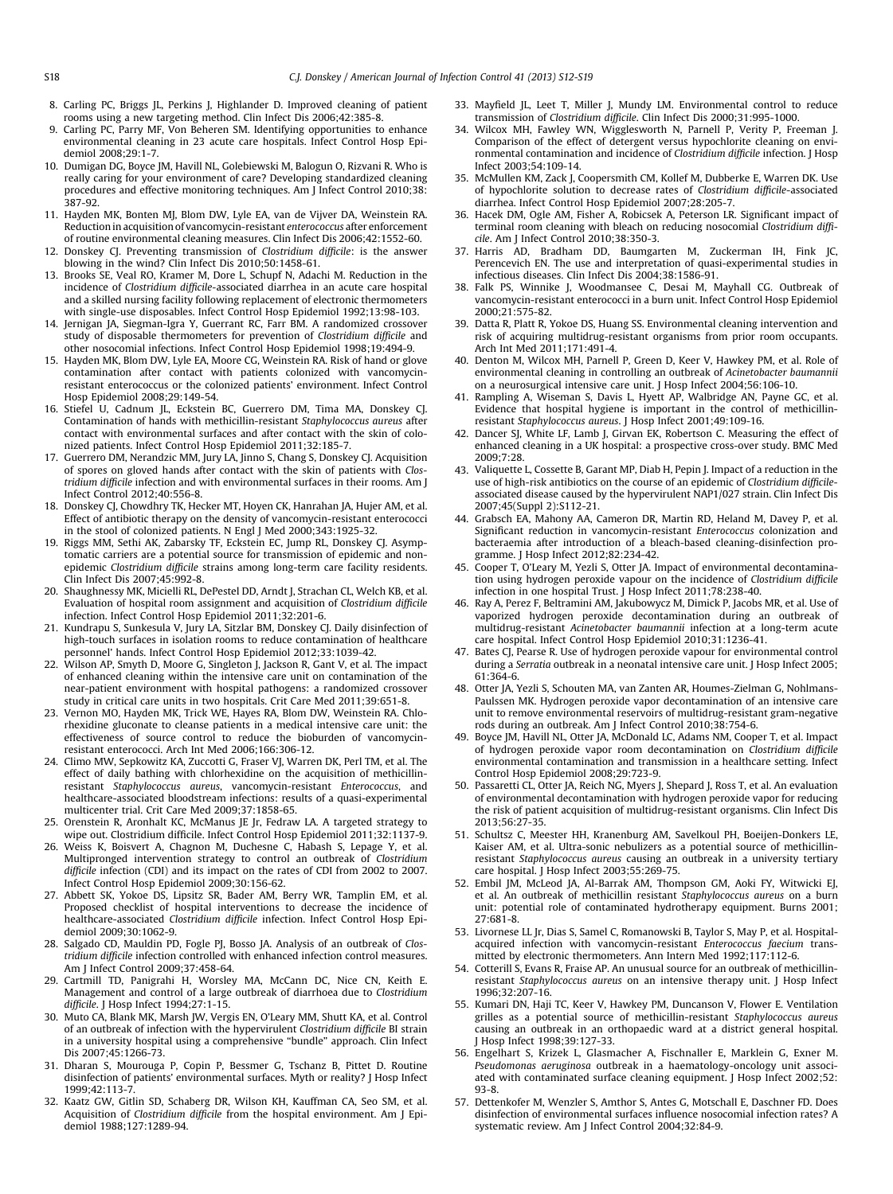- <span id="page-6-0"></span>8. Carling PC, Briggs JL, Perkins J, Highlander D. Improved cleaning of patient rooms using a new targeting method. Clin Infect Dis 2006;42:385-8.
- 9. Carling PC, Parry MF, Von Beheren SM. Identifying opportunities to enhance environmental cleaning in 23 acute care hospitals. Infect Control Hosp Epidemiol 2008;29:1-7.
- 10. Dumigan DG, Boyce JM, Havill NL, Golebiewski M, Balogun O, Rizvani R. Who is really caring for your environment of care? Developing standardized cleaning procedures and effective monitoring techniques. Am J Infect Control 2010;38: 387-92.
- 11. Hayden MK, Bonten MJ, Blom DW, Lyle EA, van de Vijver DA, Weinstein RA. Reduction in acquisition of vancomycin-resistant enterococcus after enforcement of routine environmental cleaning measures. Clin Infect Dis 2006;42:1552-60.
- 12. Donskey CJ. Preventing transmission of Clostridium difficile: is the answer blowing in the wind? Clin Infect Dis 2010;50:1458-61.
- 13. Brooks SE, Veal RO, Kramer M, Dore L, Schupf N, Adachi M. Reduction in the incidence of Clostridium difficile-associated diarrhea in an acute care hospital and a skilled nursing facility following replacement of electronic thermometers with single-use disposables. Infect Control Hosp Epidemiol 1992;13:98-103.
- 14. Jernigan JA, Siegman-Igra Y, Guerrant RC, Farr BM. A randomized crossover study of disposable thermometers for prevention of Clostridium difficile and other nosocomial infections. Infect Control Hosp Epidemiol 1998;19:494-9.
- 15. Hayden MK, Blom DW, Lyle EA, Moore CG, Weinstein RA. Risk of hand or glove contamination after contact with patients colonized with vancomycinresistant enterococcus or the colonized patients' environment. Infect Control Hosp Epidemiol 2008;29:149-54.
- 16. Stiefel U, Cadnum JL, Eckstein BC, Guerrero DM, Tima MA, Donskey CJ. Contamination of hands with methicillin-resistant Staphylococcus aureus after contact with environmental surfaces and after contact with the skin of colonized patients. Infect Control Hosp Epidemiol 2011;32:185-7.
- 17. Guerrero DM, Nerandzic MM, Jury LA, Jinno S, Chang S, Donskey CJ. Acquisition of spores on gloved hands after contact with the skin of patients with Clostridium difficile infection and with environmental surfaces in their rooms. Am J Infect Control 2012;40:556-8.
- 18. Donskey CJ, Chowdhry TK, Hecker MT, Hoyen CK, Hanrahan JA, Hujer AM, et al. Effect of antibiotic therapy on the density of vancomycin-resistant enterococci in the stool of colonized patients. N Engl J Med 2000;343:1925-32.
- 19. Riggs MM, Sethi AK, Zabarsky TF, Eckstein EC, Jump RL, Donskey CJ. Asymptomatic carriers are a potential source for transmission of epidemic and nonepidemic Clostridium difficile strains among long-term care facility residents. Clin Infect Dis 2007;45:992-8.
- 20. Shaughnessy MK, Micielli RL, DePestel DD, Arndt J, Strachan CL, Welch KB, et al. Evaluation of hospital room assignment and acquisition of Clostridium difficile infection. Infect Control Hosp Epidemiol 2011;32:201-6.
- 21. Kundrapu S, Sunkesula V, Jury LA, Sitzlar BM, Donskey CJ. Daily disinfection of high-touch surfaces in isolation rooms to reduce contamination of healthcare personnel' hands. Infect Control Hosp Epidemiol 2012;33:1039-42.
- 22. Wilson AP, Smyth D, Moore G, Singleton J, Jackson R, Gant V, et al. The impact of enhanced cleaning within the intensive care unit on contamination of the near-patient environment with hospital pathogens: a randomized crossover study in critical care units in two hospitals. Crit Care Med 2011;39:651-8.
- 23. Vernon MO, Hayden MK, Trick WE, Hayes RA, Blom DW, Weinstein RA. Chlorhexidine gluconate to cleanse patients in a medical intensive care unit: the effectiveness of source control to reduce the bioburden of vancomycinresistant enterococci. Arch Int Med 2006;166:306-12.
- 24. Climo MW, Sepkowitz KA, Zuccotti G, Fraser VJ, Warren DK, Perl TM, et al. The effect of daily bathing with chlorhexidine on the acquisition of methicillinresistant Staphylococcus aureus, vancomycin-resistant Enterococcus, and healthcare-associated bloodstream infections: results of a quasi-experimental multicenter trial. Crit Care Med 2009;37:1858-65.
- 25. Orenstein R, Aronhalt KC, McManus JE Jr, Fedraw LA. A targeted strategy to wipe out. Clostridium difficile. Infect Control Hosp Epidemiol 2011;32:1137-9.
- 26. Weiss K, Boisvert A, Chagnon M, Duchesne C, Habash S, Lepage Y, et al. Multipronged intervention strategy to control an outbreak of Clostridium difficile infection (CDI) and its impact on the rates of CDI from 2002 to 2007. Infect Control Hosp Epidemiol 2009;30:156-62.
- 27. Abbett SK, Yokoe DS, Lipsitz SR, Bader AM, Berry WR, Tamplin EM, et al. Proposed checklist of hospital interventions to decrease the incidence of healthcare-associated Clostridium difficile infection. Infect Control Hosp Epidemiol 2009;30:1062-9.
- 28. Salgado CD, Mauldin PD, Fogle PJ, Bosso JA. Analysis of an outbreak of Clostridium difficile infection controlled with enhanced infection control measures. Am J Infect Control 2009;37:458-64.
- 29. Cartmill TD, Panigrahi H, Worsley MA, McCann DC, Nice CN, Keith E. Management and control of a large outbreak of diarrhoea due to Clostridium difficile. J Hosp Infect 1994;27:1-15.
- 30. Muto CA, Blank MK, Marsh JW, Vergis EN, O'Leary MM, Shutt KA, et al. Control of an outbreak of infection with the hypervirulent Clostridium difficile BI strain in a university hospital using a comprehensive "bundle" approach. Clin Infect Dis 2007;45:1266-73.
- 31. Dharan S, Mourouga P, Copin P, Bessmer G, Tschanz B, Pittet D. Routine disinfection of patients' environmental surfaces. Myth or reality? J Hosp Infect 1999;42:113-7.
- 32. Kaatz GW, Gitlin SD, Schaberg DR, Wilson KH, Kauffman CA, Seo SM, et al. Acquisition of Clostridium difficile from the hospital environment. Am J Epidemiol 1988;127:1289-94.
- 33. Mayfield JL, Leet T, Miller J, Mundy LM. Environmental control to reduce transmission of Clostridium difficile. Clin Infect Dis 2000;31:995-1000.
- 34. Wilcox MH, Fawley WN, Wigglesworth N, Parnell P, Verity P, Freeman J. Comparison of the effect of detergent versus hypochlorite cleaning on environmental contamination and incidence of Clostridium difficile infection. J Hosp Infect 2003;54:109-14.
- 35. McMullen KM, Zack J, Coopersmith CM, Kollef M, Dubberke E, Warren DK. Use of hypochlorite solution to decrease rates of Clostridium difficile-associated diarrhea. Infect Control Hosp Epidemiol 2007;28:205-7.
- 36. Hacek DM, Ogle AM, Fisher A, Robicsek A, Peterson LR. Significant impact of terminal room cleaning with bleach on reducing nosocomial Clostridium difficile. Am J Infect Control 2010;38:350-3.
- 37. Harris AD, Bradham DD, Baumgarten M, Zuckerman IH, Fink JC, Perencevich EN. The use and interpretation of quasi-experimental studies in infectious diseases. Clin Infect Dis 2004;38:1586-91.
- 38. Falk PS, Winnike J, Woodmansee C, Desai M, Mayhall CG. Outbreak of vancomycin-resistant enterococci in a burn unit. Infect Control Hosp Epidemiol  $2000:21:575-82$
- 39. Datta R, Platt R, Yokoe DS, Huang SS. Environmental cleaning intervention and risk of acquiring multidrug-resistant organisms from prior room occupants. Arch Int Med 2011;171:491-4.
- Denton M, Wilcox MH, Parnell P, Green D, Keer V, Hawkey PM, et al. Role of environmental cleaning in controlling an outbreak of Acinetobacter baumannii on a neurosurgical intensive care unit. J Hosp Infect 2004;56:106-10.
- 41. Rampling A, Wiseman S, Davis L, Hyett AP, Walbridge AN, Payne GC, et al. Evidence that hospital hygiene is important in the control of methicillinresistant Staphylococcus aureus. J Hosp Infect 2001;49:109-16.
- 42. Dancer SJ, White LF, Lamb J, Girvan EK, Robertson C. Measuring the effect of enhanced cleaning in a UK hospital: a prospective cross-over study. BMC Med 2009;7:28.
- 43. Valiquette L, Cossette B, Garant MP, Diab H, Pepin J. Impact of a reduction in the use of high-risk antibiotics on the course of an epidemic of Clostridium difficileassociated disease caused by the hypervirulent NAP1/027 strain. Clin Infect Dis 2007;45(Suppl 2):S112-21.
- 44. Grabsch EA, Mahony AA, Cameron DR, Martin RD, Heland M, Davey P, et al. Significant reduction in vancomycin-resistant Enterococcus colonization and bacteraemia after introduction of a bleach-based cleaning-disinfection programme. J Hosp Infect 2012;82:234-42.
- 45. Cooper T, O'Leary M, Yezli S, Otter JA. Impact of environmental decontamination using hydrogen peroxide vapour on the incidence of Clostridium difficile infection in one hospital Trust. J Hosp Infect 2011;78:238-40.
- 46. Ray A, Perez F, Beltramini AM, Jakubowycz M, Dimick P, Jacobs MR, et al. Use of vaporized hydrogen peroxide decontamination during an outbreak of multidrug-resistant Acinetobacter baumannii infection at a long-term acute care hospital. Infect Control Hosp Epidemiol 2010;31:1236-41.
- 47. Bates CJ, Pearse R. Use of hydrogen peroxide vapour for environmental control during a Serratia outbreak in a neonatal intensive care unit. J Hosp Infect 2005; 61:364-6.
- 48. Otter JA, Yezli S, Schouten MA, van Zanten AR, Houmes-Zielman G, Nohlmans-Paulssen MK. Hydrogen peroxide vapor decontamination of an intensive care unit to remove environmental reservoirs of multidrug-resistant gram-negative rods during an outbreak. Am J Infect Control 2010;38:754-6.
- 49. Boyce JM, Havill NL, Otter JA, McDonald LC, Adams NM, Cooper T, et al. Impact of hydrogen peroxide vapor room decontamination on Clostridium difficile environmental contamination and transmission in a healthcare setting. Infect Control Hosp Epidemiol 2008;29:723-9.
- 50. Passaretti CL, Otter JA, Reich NG, Myers J, Shepard J, Ross T, et al. An evaluation of environmental decontamination with hydrogen peroxide vapor for reducing the risk of patient acquisition of multidrug-resistant organisms. Clin Infect Dis 2013;56:27-35.
- 51. Schultsz C, Meester HH, Kranenburg AM, Savelkoul PH, Boeijen-Donkers LE, Kaiser AM, et al. Ultra-sonic nebulizers as a potential source of methicillinresistant Staphylococcus aureus causing an outbreak in a university tertiary care hospital. J Hosp Infect 2003;55:269-75.
- 52. Embil JM, McLeod JA, Al-Barrak AM, Thompson GM, Aoki FY, Witwicki EJ, et al. An outbreak of methicillin resistant Staphylococcus aureus on a burn unit: potential role of contaminated hydrotherapy equipment. Burns 2001; 27:681-8.
- 53. Livornese LL Jr, Dias S, Samel C, Romanowski B, Taylor S, May P, et al. Hospitalacquired infection with vancomycin-resistant Enterococcus faecium transmitted by electronic thermometers. Ann Intern Med 1992;117:112-6.
- 54. Cotterill S, Evans R, Fraise AP. An unusual source for an outbreak of methicillinresistant Staphylococcus aureus on an intensive therapy unit. J Hosp Infect 1996;32:207-16.
- 55. Kumari DN, Haji TC, Keer V, Hawkey PM, Duncanson V, Flower E. Ventilation grilles as a potential source of methicillin-resistant Staphylococcus aureus causing an outbreak in an orthopaedic ward at a district general hospital. J Hosp Infect 1998;39:127-33.
- 56. Engelhart S, Krizek L, Glasmacher A, Fischnaller E, Marklein G, Exner M. Pseudomonas aeruginosa outbreak in a haematology-oncology unit associated with contaminated surface cleaning equipment. J Hosp Infect 2002;52: 93-8.
- 57. Dettenkofer M, Wenzler S, Amthor S, Antes G, Motschall E, Daschner FD. Does disinfection of environmental surfaces influence nosocomial infection rates? A systematic review. Am J Infect Control 2004;32:84-9.